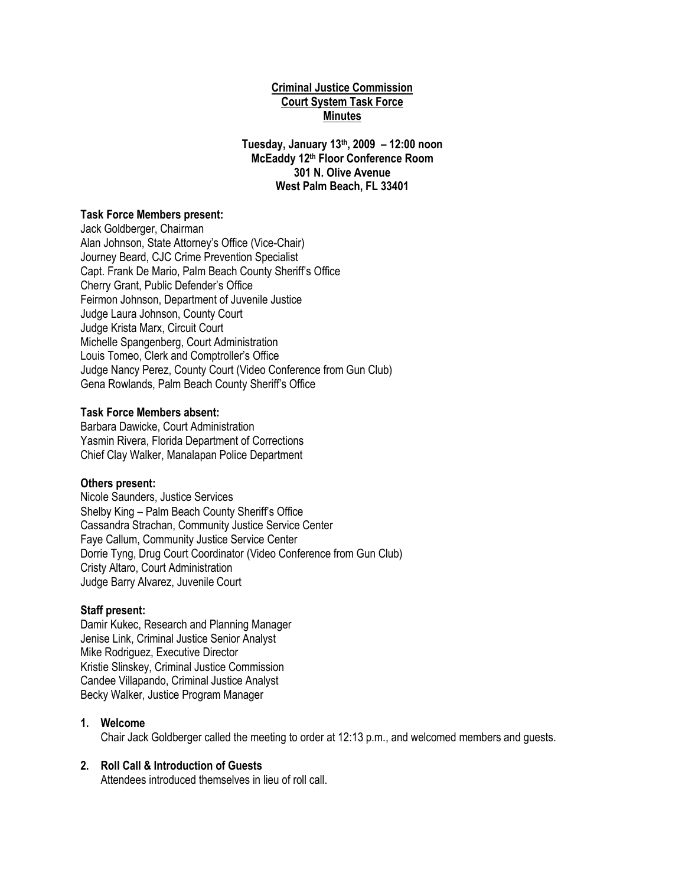# **Criminal Justice Commission Court System Task Force Minutes**

**Tuesday, January 13th, 2009 – 12:00 noon McEaddy 12th Floor Conference Room 301 N. Olive Avenue West Palm Beach, FL 33401**

# **Task Force Members present:**

Jack Goldberger, Chairman Alan Johnson, State Attorney"s Office (Vice-Chair) Journey Beard, CJC Crime Prevention Specialist Capt. Frank De Mario, Palm Beach County Sheriff's Office Cherry Grant, Public Defender"s Office Feirmon Johnson, Department of Juvenile Justice Judge Laura Johnson, County Court Judge Krista Marx, Circuit Court Michelle Spangenberg, Court Administration Louis Tomeo, Clerk and Comptroller"s Office Judge Nancy Perez, County Court (Video Conference from Gun Club) Gena Rowlands, Palm Beach County Sheriff"s Office

# **Task Force Members absent:**

Barbara Dawicke, Court Administration Yasmin Rivera, Florida Department of Corrections Chief Clay Walker, Manalapan Police Department

#### **Others present:**

Nicole Saunders, Justice Services Shelby King – Palm Beach County Sheriff's Office Cassandra Strachan, Community Justice Service Center Faye Callum, Community Justice Service Center Dorrie Tyng, Drug Court Coordinator (Video Conference from Gun Club) Cristy Altaro, Court Administration Judge Barry Alvarez, Juvenile Court

#### **Staff present:**

Damir Kukec, Research and Planning Manager Jenise Link, Criminal Justice Senior Analyst Mike Rodriguez, Executive Director Kristie Slinskey, Criminal Justice Commission Candee Villapando, Criminal Justice Analyst Becky Walker, Justice Program Manager

### **1. Welcome**

Chair Jack Goldberger called the meeting to order at 12:13 p.m., and welcomed members and guests.

### **2. Roll Call & Introduction of Guests**

Attendees introduced themselves in lieu of roll call.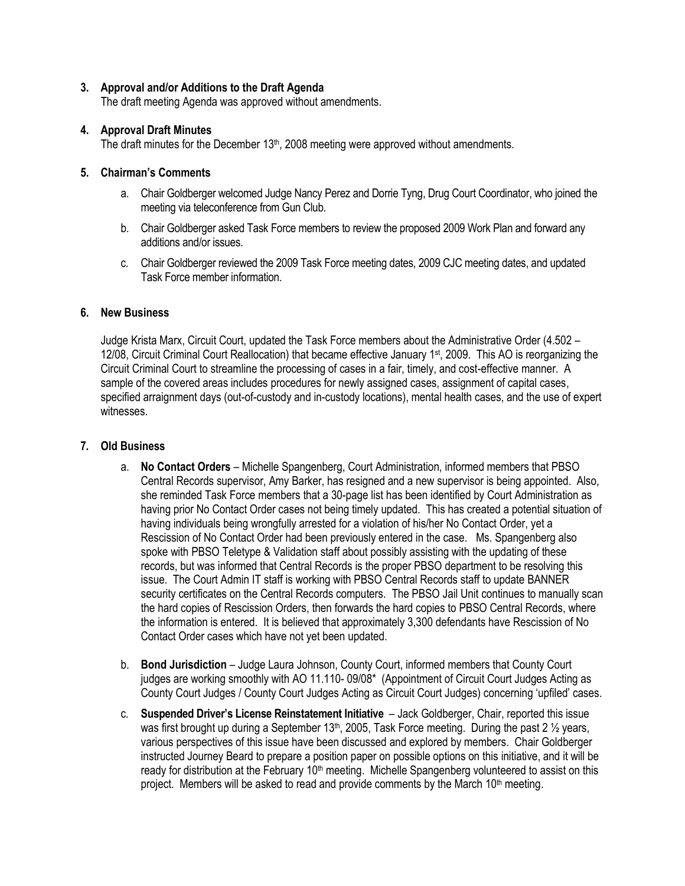# **3. Approval and/or Additions to the Draft Agenda**

The draft meeting Agenda was approved without amendments.

# **4. Approval Draft Minutes**

The draft minutes for the December 13<sup>th</sup>, 2008 meeting were approved without amendments.

# **5. Chairman's Comments**

- a. Chair Goldberger welcomed Judge Nancy Perez and Dorrie Tyng, Drug Court Coordinator, who joined the meeting via teleconference from Gun Club.
- b. Chair Goldberger asked Task Force members to review the proposed 2009 Work Plan and forward any additions and/or issues.
- c. Chair Goldberger reviewed the 2009 Task Force meeting dates, 2009 CJC meeting dates, and updated Task Force member information.

# **6. New Business**

Judge Krista Marx, Circuit Court, updated the Task Force members about the Administrative Order (4.502 – 12/08, Circuit Criminal Court Reallocation) that became effective January 1st, 2009. This AO is reorganizing the Circuit Criminal Court to streamline the processing of cases in a fair, timely, and cost-effective manner. A sample of the covered areas includes procedures for newly assigned cases, assignment of capital cases, specified arraignment days (out-of-custody and in-custody locations), mental health cases, and the use of expert witnesses.

### **7. Old Business**

- a. **No Contact Orders** Michelle Spangenberg, Court Administration, informed members that PBSO Central Records supervisor, Amy Barker, has resigned and a new supervisor is being appointed. Also, she reminded Task Force members that a 30-page list has been identified by Court Administration as having prior No Contact Order cases not being timely updated. This has created a potential situation of having individuals being wrongfully arrested for a violation of his/her No Contact Order, yet a Rescission of No Contact Order had been previously entered in the case. Ms. Spangenberg also spoke with PBSO Teletype & Validation staff about possibly assisting with the updating of these records, but was informed that Central Records is the proper PBSO department to be resolving this issue. The Court Admin IT staff is working with PBSO Central Records staff to update BANNER security certificates on the Central Records computers. The PBSO Jail Unit continues to manually scan the hard copies of Rescission Orders, then forwards the hard copies to PBSO Central Records, where the information is entered. It is believed that approximately 3,300 defendants have Rescission of No Contact Order cases which have not yet been updated.
- b. **Bond Jurisdiction** Judge Laura Johnson, County Court, informed members that County Court judges are working smoothly with AO 11.110- 09/08\* (Appointment of Circuit Court Judges Acting as County Court Judges / County Court Judges Acting as Circuit Court Judges) concerning "upfiled" cases.
- c. **Suspended Driver's License Reinstatement Initiative**  Jack Goldberger, Chair, reported this issue was first brought up during a September 13<sup>th</sup>, 2005, Task Force meeting. During the past 2  $\frac{1}{2}$  years, various perspectives of this issue have been discussed and explored by members. Chair Goldberger instructed Journey Beard to prepare a position paper on possible options on this initiative, and it will be ready for distribution at the February 10<sup>th</sup> meeting. Michelle Spangenberg volunteered to assist on this project. Members will be asked to read and provide comments by the March 10<sup>th</sup> meeting.